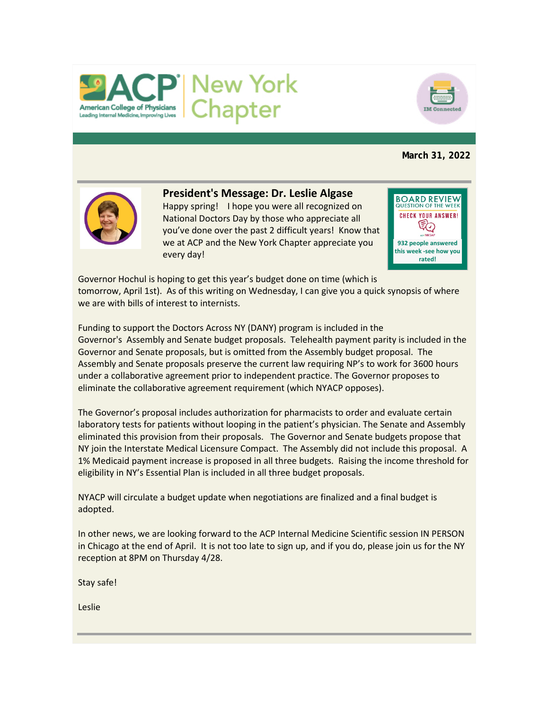



# **March 31, 2022**



# **President's Message: Dr. Leslie Algase**

Happy spring! I hope you were all recognized on National Doctors Day by those who appreciate all you've done over the past 2 difficult years! Know that we at ACP and the New York Chapter appreciate you every day!

**BOARD REVIEW** QUESTION OF THE WE **CHECK YOUR ANSWER!** €⊘ **932 people answered this week -see how you rated!**

Governor Hochul is hoping to get this year's budget done on time (which is tomorrow, April 1st). As of this writing on Wednesday, I can give you a quick synopsis of where we are with bills of interest to internists.

Funding to support the Doctors Across NY (DANY) program is included in the Governor's Assembly and Senate budget proposals. Telehealth payment parity is included in the Governor and Senate proposals, but is omitted from the Assembly budget proposal. The Assembly and Senate proposals preserve the current law requiring NP's to work for 3600 hours under a collaborative agreement prior to independent practice. The Governor proposes to eliminate the collaborative agreement requirement (which NYACP opposes).

The Governor's proposal includes authorization for pharmacists to order and evaluate certain laboratory tests for patients without looping in the patient's physician. The Senate and Assembly eliminated this provision from their proposals. The Governor and Senate budgets propose that NY join the Interstate Medical Licensure Compact. The Assembly did not include this proposal. A 1% Medicaid payment increase is proposed in all three budgets. Raising the income threshold for eligibility in NY's Essential Plan is included in all three budget proposals.

NYACP will circulate a budget update when negotiations are finalized and a final budget is adopted.

In other news, we are looking forward to the ACP Internal Medicine Scientific session IN PERSON in Chicago at the end of April. It is not too late to sign up, and if you do, please join us for the NY reception at 8PM on Thursday 4/28.

Stay safe!

Leslie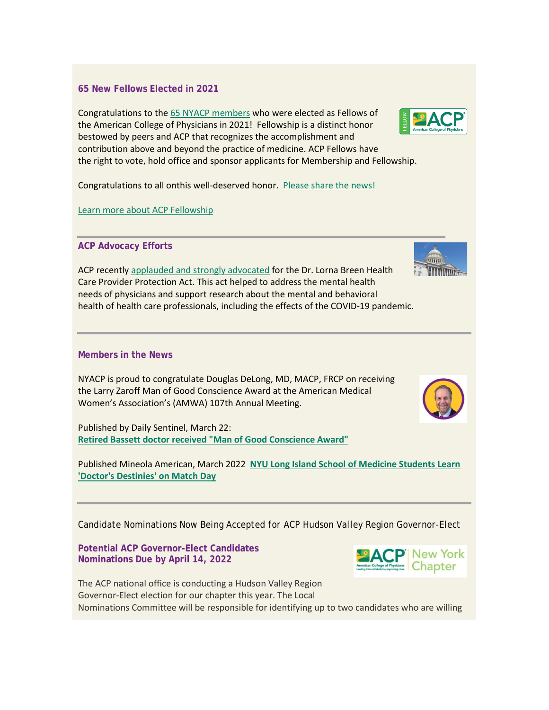# **65 New Fellows Elected in 2021**

Congratulations to the [65 NYACP members](https://www.nyacp.org/files/News/2021_Fellows_for_website.pdf) who were elected as Fellows of the American College of Physicians in 2021! Fellowship is a distinct honor bestowed by peers and ACP that recognizes the accomplishment and contribution above and beyond the practice of medicine. ACP Fellows have the right to vote, hold office and sponsor applicants for Membership and Fellowship.

Congratulations to all onthis well-deserved honor. [Please share the news!](https://www.acponline.org/membership/physician-membership/acp-fellowship/welcome-new-fellows/share-the-news)

[Learn more about ACP Fellowship](https://www.acponline.org/membership/physician-membership/acp-fellowship)

## **ACP Advocacy Efforts**

ACP recently [applauded and strongly advocated](http://app.learn.acpprograms.org/e/er?utm_campaign=FY21-22_MD_COVID-19_EML_March%2017_MD1003-9&utm_medium=email&utm_source=Eloqua&s=698935272&lid=9940&elqTrackId=DAC10423500AC5F6DEEEE85EBCE39730&elq=38f473221c3e4ae3bba57531203c6ba9&elqaid=9272&elqat=1) for the Dr. Lorna Breen Health Care Provider Protection Act. This act helped to address the mental health needs of physicians and support research about the mental and behavioral health of health care professionals, including the effects of the COVID-19 pandemic.

## **Members in the News**

NYACP is proud to congratulate Douglas DeLong, MD, MACP, FRCP on receiving the Larry Zaroff Man of Good Conscience Award at the American Medical Women's Association's (AMWA) 107th Annual Meeting.

Published by Daily Sentinel, March 22: **[Retired Bassett doctor received "Man of Good Conscience Award"](https://romesentinel.com/stories/retired-bassett-doctor-receives-man-of-good-conscience-award,131655)**

Published Mineola American, March 2022 **[NYU Long Island School of Medicine Students Learn](https://mineolaamerican.com/2022/03/nyu-long-island-school-of-medicine-students-learn-doctor-destinies-on-match-day/)  ['Doctor's Destinies' on Match Day](https://mineolaamerican.com/2022/03/nyu-long-island-school-of-medicine-students-learn-doctor-destinies-on-match-day/)**

*Candidate Nominations Now Being Accepted for ACP Hudson Valley Region Governor-Elect*

**Potential ACP Governor-Elect Candidates Nominations Due by April 14, 2022**

The ACP national office is conducting a Hudson Valley Region Governor-Elect election for our chapter this year. The Local Nominations Committee will be responsible for identifying up to two candidates who are willing







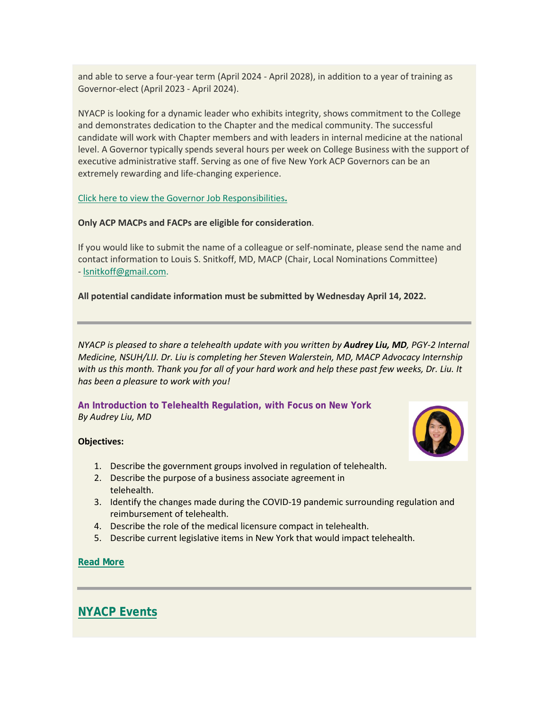and able to serve a four-year term (April 2024 - April 2028), in addition to a year of training as Governor-elect (April 2023 - April 2024).

NYACP is looking for a dynamic leader who exhibits integrity, shows commitment to the College and demonstrates dedication to the Chapter and the medical community. The successful candidate will work with Chapter members and with leaders in internal medicine at the national level. A Governor typically spends several hours per week on College Business with the support of executive administrative staff. Serving as one of five New York ACP Governors can be an extremely rewarding and life-changing experience.

[Click here to view the Governor Job Responsibilities](https://votervoice.s3.amazonaws.com/groups/nyacp/attachments/governor_job_responsibilities(2).pdf)**.**

## **Only ACP MACPs and FACPs are eligible for consideration**.

If you would like to submit the name of a colleague or self-nominate, please send the name and contact information to Louis S. Snitkoff, MD, MACP (Chair, Local Nominations Committee) - [lsnitkoff@gmail.com.](mailto:lsnitkoff@gmail.com)

## **All potential candidate information must be submitted by Wednesday April 14, 2022.**

*NYACP is pleased to share a telehealth update with you written by Audrey Liu, MD, PGY-2 Internal Medicine, NSUH/LIJ. Dr. Liu is completing her Steven Walerstein, MD, MACP Advocacy Internship with us this month. Thank you for all of your hard work and help these past few weeks, Dr. Liu. It has been a pleasure to work with you!*

**An Introduction to Telehealth Regulation, with Focus on New York** *By Audrey Liu, MD*

#### **Objectives:**



- 1. Describe the government groups involved in regulation of telehealth.
- 2. Describe the purpose of a business associate agreement in telehealth.
- 3. Identify the changes made during the COVID-19 pandemic surrounding regulation and reimbursement of telehealth.
- 4. Describe the role of the medical licensure compact in telehealth.
- 5. Describe current legislative items in New York that would impact telehealth.

## **[Read More](https://votervoice.s3.amazonaws.com/groups/nyacp/attachments/Telehealth%20ALiu%20v3.pdf)**

# **[NYACP Events](https://www.nyacp.org/i4a/pages/index.cfm?pageid=3535)**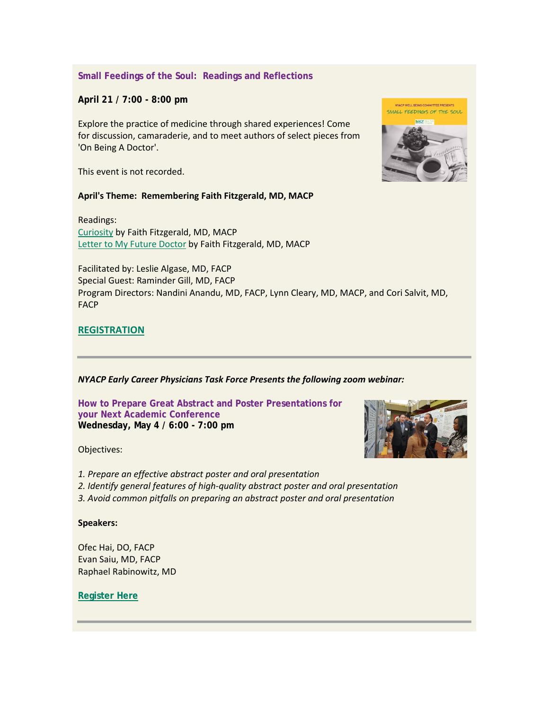# **Small Feedings of the Soul: Readings and Reflections**

**April 21 / 7:00 - 8:00 pm**

Explore the practice of medicine through shared experiences! Come for discussion, camaraderie, and to meet authors of select pieces from 'On Being A Doctor'.

This event is not recorded.

### **April's Theme: Remembering Faith Fitzgerald, MD, MACP**

Readings: [Curiosity](https://www.acpjournals.org/doi/10.7326/0003-4819-130-1-199901050-00015) by Faith Fitzgerald, MD, MACP [Letter to My Future Doctor](https://www.ncbi.nlm.nih.gov/pmc/articles/PMC1003255/) by Faith Fitzgerald, MD, MACP

Facilitated by: Leslie Algase, MD, FACP Special Guest: Raminder Gill, MD, FACP Program Directors: Nandini Anandu, MD, FACP, Lynn Cleary, MD, MACP, and Cori Salvit, MD, FACP

# **[REGISTRATION](https://us02web.zoom.us/meeting/register/tZIvf-2gqTkjH934XynYPdewkix2auPNTqA8)**

## *NYACP Early Career Physicians Task Force Presents the following zoom webinar:*

**How to Prepare Great Abstract and Poster Presentations for your Next Academic Conference Wednesday, May 4 / 6:00 - 7:00 pm**

Objectives:

*1. Prepare an effective abstract poster and oral presentation*

*2. Identify general features of high-quality abstract poster and oral presentation*

*3. Avoid common pitfalls on preparing an abstract poster and oral presentation*

### **Speakers:**

Ofec Hai, DO, FACP Evan Saiu, MD, FACP Raphael Rabinowitz, MD

**[Register Here](https://us02web.zoom.us/meeting/register/tZApdu6vqjIuHNB81ZmB7YbXfJM_G-hbBHRN)**